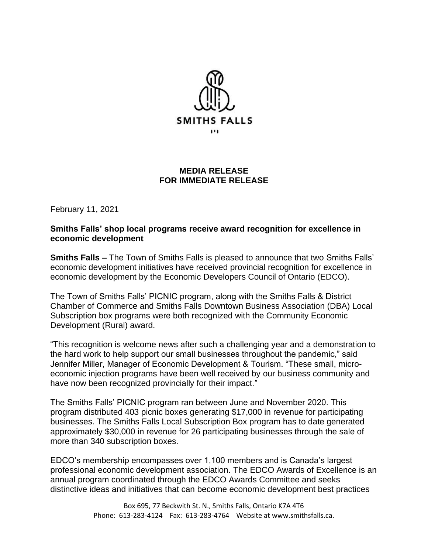

## **MEDIA RELEASE FOR IMMEDIATE RELEASE**

February 11, 2021

## **Smiths Falls' shop local programs receive award recognition for excellence in economic development**

**Smiths Falls –** The Town of Smiths Falls is pleased to announce that two Smiths Falls' economic development initiatives have received provincial recognition for excellence in economic development by the Economic Developers Council of Ontario (EDCO).

The Town of Smiths Falls' PICNIC program, along with the Smiths Falls & District Chamber of Commerce and Smiths Falls Downtown Business Association (DBA) Local Subscription box programs were both recognized with the Community Economic Development (Rural) award.

"This recognition is welcome news after such a challenging year and a demonstration to the hard work to help support our small businesses throughout the pandemic," said Jennifer Miller, Manager of Economic Development & Tourism. "These small, microeconomic injection programs have been well received by our business community and have now been recognized provincially for their impact."

The Smiths Falls' PICNIC program ran between June and November 2020. This program distributed 403 picnic boxes generating \$17,000 in revenue for participating businesses. The Smiths Falls Local Subscription Box program has to date generated approximately \$30,000 in revenue for 26 participating businesses through the sale of more than 340 subscription boxes.

EDCO's membership encompasses over 1,100 members and is Canada's largest professional economic development association. The EDCO Awards of Excellence is an annual program coordinated through the EDCO Awards Committee and seeks distinctive ideas and initiatives that can become economic development best practices

> Box 695, 77 Beckwith St. N., Smiths Falls, Ontario K7A 4T6 Phone: 613-283-4124 Fax: 613-283-4764 Website at www.smithsfalls.ca.